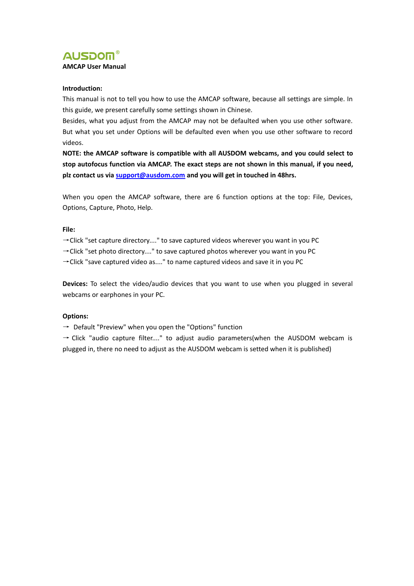

### **Introduction:**

This manual is not to tell you how to use the AMCAP software, because all settings are simple. In this guide, we present carefully some settings shown in Chinese.

Besides, what you adjust from the AMCAP may not be defaulted when you use other software. But what you set under Options will be defaulted even when you use other software to record videos.

**NOTE: the AMCAP software is compatible with all AUSDOM webcams, and you could select to stop autofocus function via AMCAP.The exact steps are not shown in this manual, if you need, plz contact us via [support@ausdom.com](mailto:support@papalook.com) and you will get in touched in 48hrs.**

When you open the AMCAP software, there are 6 function options at the top: File, Devices, Options, Capture, Photo, Help.

#### **File:**

 $\rightarrow$  Click "set capture directory...." to save captured videos wherever you want in you PC

→Click "set photo directory...." to save captured photos wherever you want in you PC

→Click "save captured video as...." to name captured videos and save it in you PC

**Devices:** To select the video/audio devices that you want to use when you plugged in several webcams or earphones in your PC.

## **Options:**

 $\rightarrow$  Default "Preview" when you open the "Options" function

 $\rightarrow$  Click "audio capture filter...." to adjust audio parameters(when the AUSDOM webcam is plugged in, there no need to adjust as the AUSDOM webcam is setted when it is published)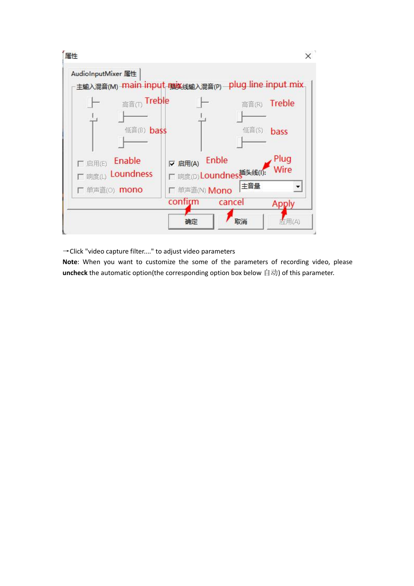

→Click "video capture filter...." to adjust video parameters

**Note**: When you want to customize the some of the parameters of recording video, please uncheck the automatic option(the corresponding option box below 自动) of this parameter.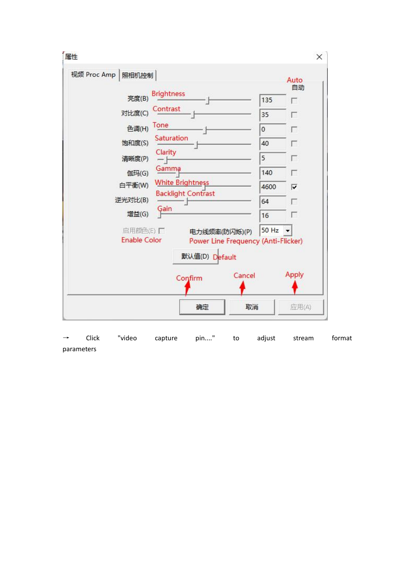| 属性          |                                               |                                                                       |                                                                | $\times$                                          |
|-------------|-----------------------------------------------|-----------------------------------------------------------------------|----------------------------------------------------------------|---------------------------------------------------|
| 视频 Proc Amp | 照相机控制<br>亮度(B)<br>对比度(C)<br>色调(H)<br>饱和度(S)   | <b>Brightness</b><br>Contrast<br>Tone<br>Saturation<br>Clarity        | $\mathbf{0}$                                                   | Auto<br>自动<br>135<br>г<br>35<br>г<br>г<br>40<br>г |
|             | 清晰度(P)<br>伽玛(G)<br>白平衡(W)<br>逆光对比(B)<br>增益(G) | Gamma<br><b>White Brightness</b><br><b>Backlight Contrast</b><br>Gain | 5                                                              | г<br>140<br>г<br>4600<br>⊽<br>64<br>г<br>16<br>г  |
|             | 启用颜色(E) 厂<br><b>Enable Color</b>              | 默认值(D) Default<br>Confirm                                             | 电力线频率(防闪烁)(P)<br>Power Line Frequency (Anti-Flicker)<br>Cancel | 50 Hz<br>Apply                                    |
|             |                                               | 确定                                                                    | 取消                                                             | 应用(A)                                             |

→ Click "video capture pin...." to adjust stream format parameters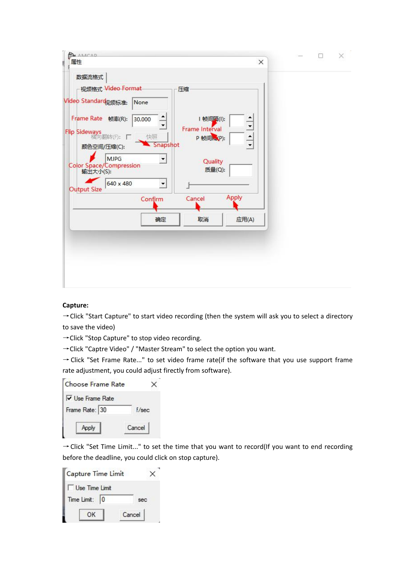| <b>BA</b> AMCAD                         |                                     |       | × |
|-----------------------------------------|-------------------------------------|-------|---|
| 属性<br>ŧ                                 |                                     | ×     |   |
| 数据流格式                                   |                                     |       |   |
| 视频格式 Video Format                       | 压缩                                  |       |   |
| Video Standard <sub>见频标准:</sub><br>None |                                     |       |   |
| Frame Rate 帧率(R):<br>30.000             | 帧间隔(I):<br>$\overline{\phantom{0}}$ |       |   |
| Flip Sideways<br>横向翻转(F): 口<br>快照       | Frame Interval<br>P 帧间ke(P):        |       |   |
| 颜色空间/压缩(C):                             | Snapshot                            |       |   |
| <b>MJPG</b>                             | ▼<br>Quality                        |       |   |
| Color Space/Compression<br>輸出大小(S):     | 质量(Q):                              |       |   |
| 640 x 480<br><b>Output Size</b>         | $\centerdot$                        |       |   |
| Confirm                                 | Cancel                              | Apply |   |
|                                         | 取消<br>确定                            | 应用(A) |   |
|                                         |                                     |       |   |
|                                         |                                     |       |   |
|                                         |                                     |       |   |
|                                         |                                     |       |   |
|                                         |                                     |       |   |
|                                         |                                     |       |   |

# **Capture:**

→ Click "Start Capture" to start video recording (then the system will ask you to select a directory to save the video)

→Click "Stop Capture" to stop video recording.

→Click "Captre Video" / "Master Stream" to select the option you want.

→Click "Set Frame Rate..." to set video frame rate(if the software that you use support frame rate adjustment, you could adjust firectly from software).

| Choose Frame Rate              |
|--------------------------------|
| $\triangledown$ Use Frame Rate |
| f/sec                          |
| Cancel                         |
|                                |

→Click "Set Time Limit..." to set the time that you want to record(If you want to end recording before the deadline, you could click on stop capture).

| Capture Time Limit    |        |
|-----------------------|--------|
| <b>Use Time Limit</b> |        |
| Time Limit:           | sec    |
| OK                    | Cancel |